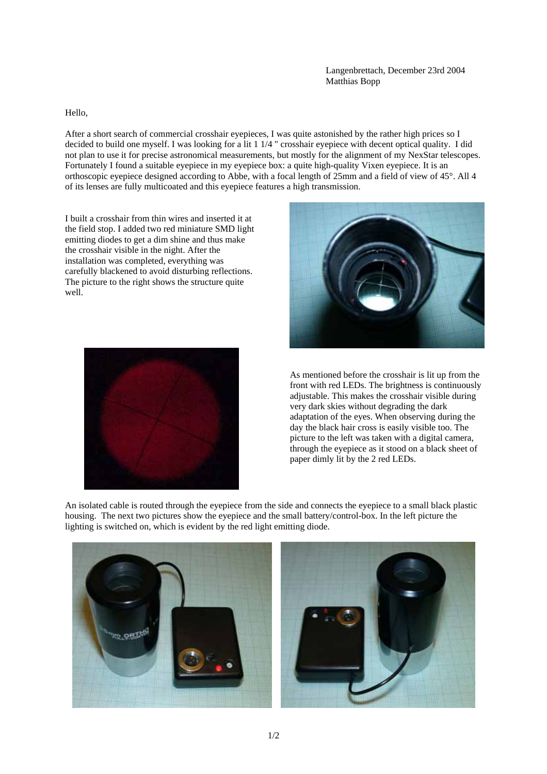Langenbrettach, December 23rd 2004 Matthias Bopp

Hello,

After a short search of commercial crosshair eyepieces, I was quite astonished by the rather high prices so I decided to build one myself. I was looking for a lit 1 1/4 " crosshair eyepiece with decent optical quality. I did not plan to use it for precise astronomical measurements, but mostly for the alignment of my NexStar telescopes. Fortunately I found a suitable eyepiece in my eyepiece box: a quite high-quality Vixen eyepiece. It is an orthoscopic eyepiece designed according to Abbe, with a focal length of 25mm and a field of view of 45°. All 4 of its lenses are fully multicoated and this eyepiece features a high transmission.

I built a crosshair from thin wires and inserted it at the field stop. I added two red miniature SMD light emitting diodes to get a dim shine and thus make the crosshair visible in the night. After the installation was completed, everything was carefully blackened to avoid disturbing reflections. The picture to the right shows the structure quite well.





As mentioned before the crosshair is lit up from the front with red LEDs. The brightness is continuously adjustable. This makes the crosshair visible during very dark skies without degrading the dark adaptation of the eyes. When observing during the day the black hair cross is easily visible too. The picture to the left was taken with a digital camera, through the eyepiece as it stood on a black sheet of paper dimly lit by the 2 red LEDs.

An isolated cable is routed through the eyepiece from the side and connects the eyepiece to a small black plastic housing. The next two pictures show the eyepiece and the small battery/control-box. In the left picture the lighting is switched on, which is evident by the red light emitting diode.